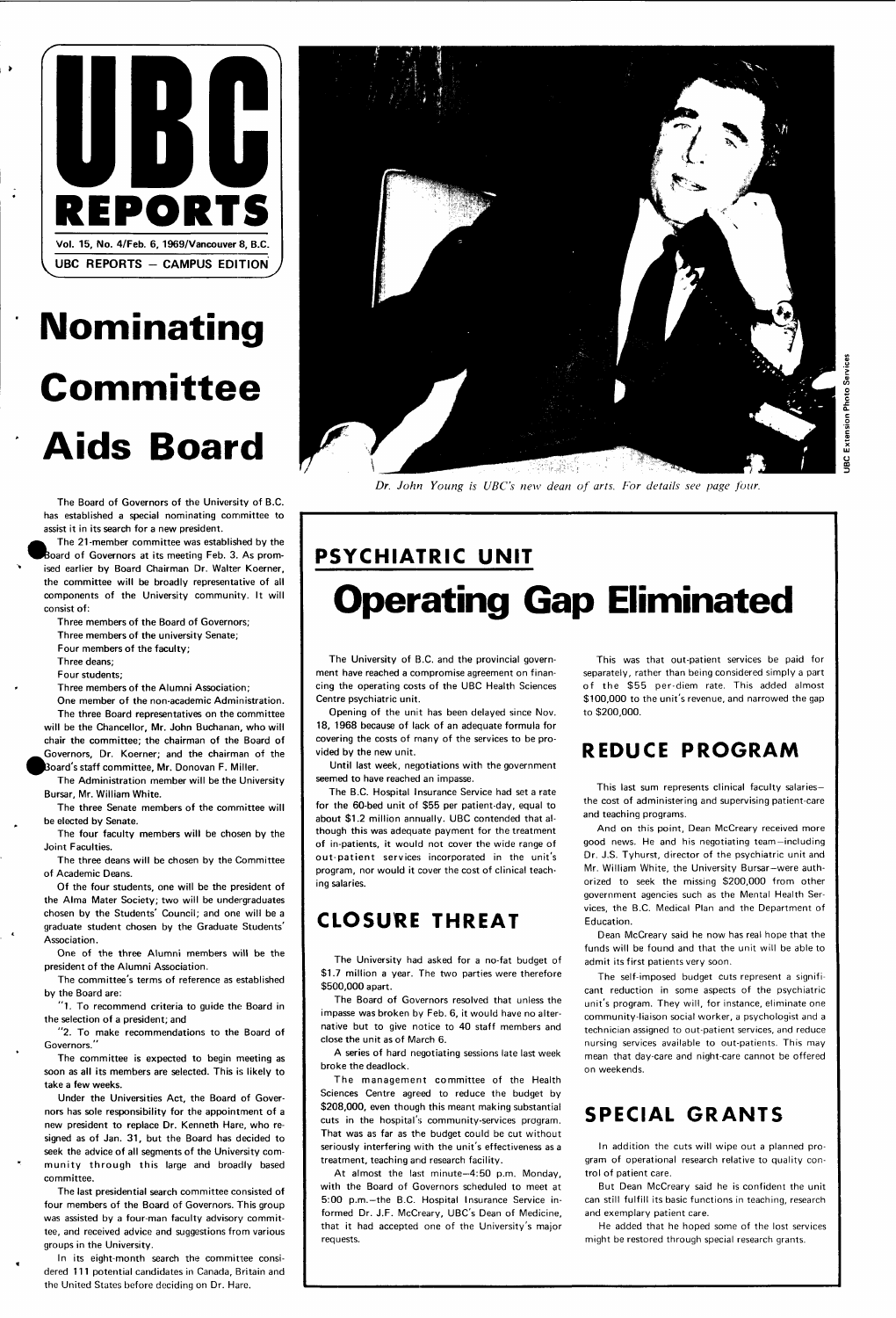

# **Nominating Committee Aids Board**

The Board of Governors of the University of B.C. has established a special nominating committee to assist it in its search for a new president,

The 21-member committee was established by the Board of Governors at its meeting Feb. 3. As promised earlier by Board Chairman Dr. Walter Koerner, the committee will be broadly representative of all components of the University community. It will consist of:

Three members of the Board of Governors;

Three members of the university Senate;

Four members of the faculty;

Three deans;

Four students;

Three members of the Alumni Association;

One member of the non-academic Administration. The three Board representatives on the committee will be the Chancellor, Mr. John Buchanan, who will chair the committee; the chairman of the Board of Governors, Dr. Koerner; and the chairman of the ^Board's staff committee, Mr. Donovan F. Miller.

"1. To recommend criteria to guide the Board in the selection of a president; and

"2. To make recommendations to the Board of Governors."

The Administration member will be the University Bursar, Mr. William White.

The three Senate members of the committee will be elected by Senate.

The four faculty members will be chosen by the Joint Faculties.

The three deans will be chosen by the Committee of Academic Deans.

Of the four students, one will be the president of the Alma Mater Society; two will be undergraduates chosen by the Students' Council; and one will be a graduate student chosen by the Graduate Students' Association.

One of the three Alumni members will be the president of the Alumni Association.

The committee's terms of reference as established by the Board are:



The committee is expected to begin meeting as soon as all its members are selected. This is likely to take a few weeks.

Under the Universities Act, the Board of Governors has sole responsibility for the appointment of a new president to replace Dr. Kenneth Hare, who resigned as of Jan. 31, but the Board has decided to seek the advice of all segments of the University community through this large and broadly based committee.

The management committee of the Health Sciences Centre agreed to reduce the budget by \$208,000, even though this meant making substantial cuts in the hospital's community-services program. That was as far as the budget could be cut without seriously interfering with the unit's effectiveness as a treatment, teaching and research facility.

The last presidential search committee consisted of four members of the Board of Governors. This group was assisted by a four-man faculty advisory committee, and received advice and suggestions from various groups in the University.

In its eight-month search the committee considered 111 potential candidates in Canada, Britain and the United States before deciding on Dr. Hare.

*Dr. John Young is UBC's new dean of arts. For details see page four.* 

### **PSYCHIATRIC UNIT Operating Gap Eliminated**

The University of B.C. and the provincial government have reached a compromise agreement on financing the operating costs of the UBC Health Sciences Centre psychiatric unit.

Opening of the unit has been delayed since Nov. 18, 1968 because of lack of an adequate formula for covering the costs of many of the services to be provided by the new unit.

Until last week, negotiations with the government seemed to have reached an impasse.

The B.C. Hospital Insurance Service had set a rate for the 60-bed unit of \$55 per patient-day, equal to about \$1.2 million annually. UBC contended that although this was adequate payment for the treatment of in-patients, it would not cover the wide range of out-patient services incorporated in the unit's program, nor would it cover the cost of clinical teaching salaries.

### **CLOSURE THREAT**

The University had asked for a no-fat budget of \$1.7 million a year. The two parties were therefore \$500,000 apart.

The Board of Governors resolved that unless the

impasse was broken by Feb. 6, it would have no alternative but to give notice to 40 staff members and close the unit as of March 6.

A series of hard negotiating sessions late last week broke the deadlock.

At almost the last minute—4:50 p.m. Monday, with the Board of Governors scheduled to meet at 5:00 p.m.—the B.C. Hospital Insurance Service informed Dr. J.F. McCreary, UBC's Dean of Medicine, that it had accepted one of the University's major requests.

This was that out-patient services be paid for separately, rather than being considered simply a part of the \$55 per-diem rate. This added almost \$100,000 to the unit's revenue, and narrowed the gap to \$200,000.

### **REDUCE PROGRAM**

This last sum represents clinical faculty salaries the cost of administering and supervising patient-care and teaching programs.

And on this point, Dean McCreary received more good news. He and his negotiating team—including Dr. J.S. Tyhurst, director of the psychiatric unit and Mr. William White, the University Bursar-were authorized to seek the missing \$200,000 from other government agencies such as the Mental Health Services, the B.C. Medical Plan and the Department of Education.

Dean McCreary said he now has real hope that the funds will be found and that the unit will be able to admit its first patients very soon.

The self-imposed budget cuts represent a significant reduction in some aspects of the psychiatric unit's program. They will, for instance, eliminate one community-liaison social worker, a psychologist and a technician assigned to out-patient services, and reduce nursing services available to out-patients. This may mean that day-care and night-care cannot be offered on weekends.

### **SPECIAL GRANTS**

In addition the cuts will wipe out a planned program of operational research relative to quality control of patient care.

But Dean McCreary said he is confident the unit can still fulfill its basic functions in teaching, research and exemplary patient care.

He added that he hoped some of the lost services might be restored through special research grants.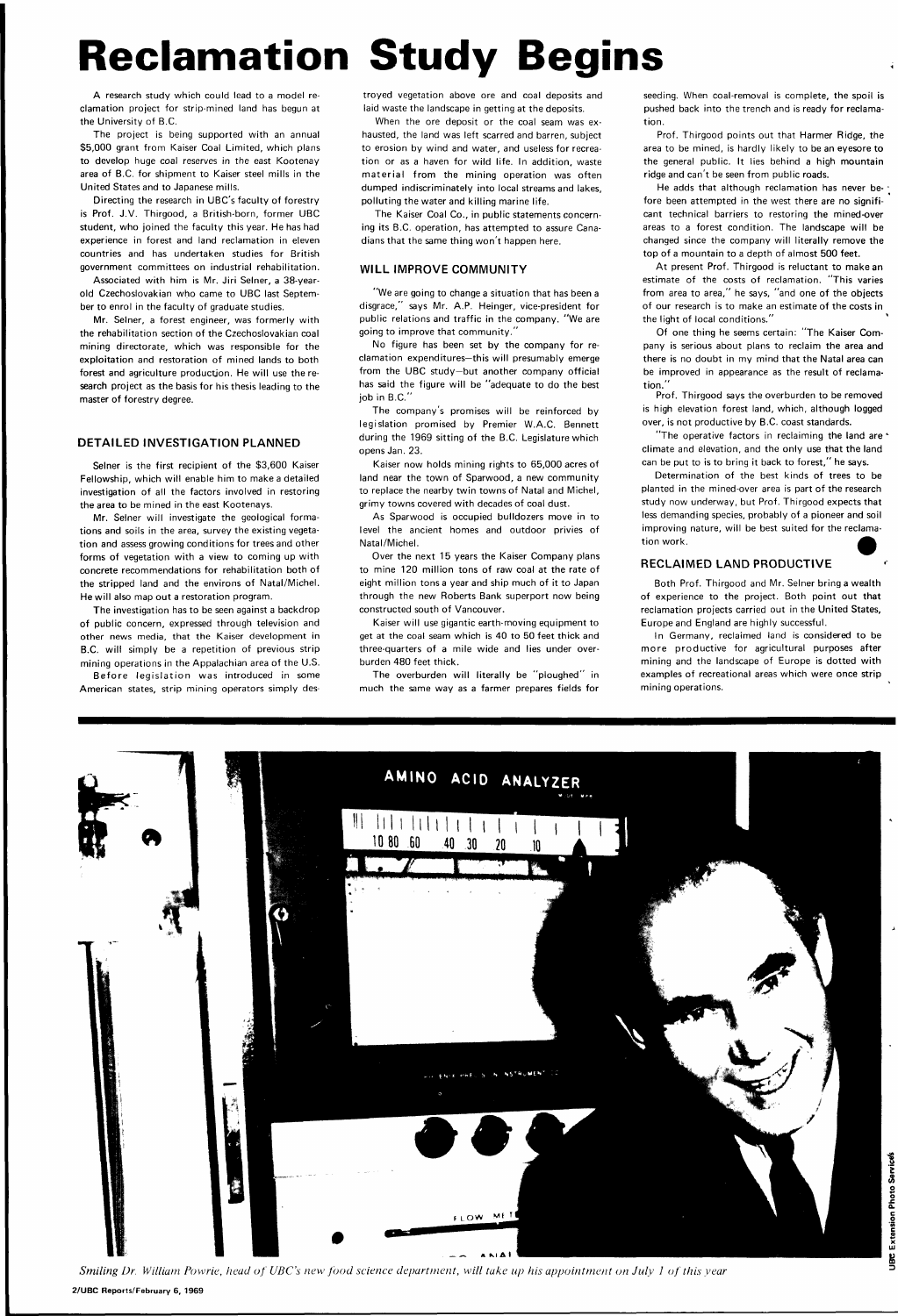## **Reclamation Study Begins**

A research study which could lead to a model reclamation project for strip-mined land has begun at the University of B.C.

The project is being supported with an annual \$5,000 grant from Kaiser Coal Limited, which plans to develop huge coal reserves in the east Kootenay area of B.C. for shipment to Kaiser steel mills in the United States and to Japanese mills.

Directing the research in UBC's faculty of forestry is Prof. J.V. Thirgood, a British-born, former UBC student, who joined the faculty this year. He has had experience in forest and land reclamation in eleven countries and has undertaken studies for British government committees on industrial rehabilitation.

Selner is the first recipient of the \$3,600 Kaiser Fellowship, which will enable him to make a detailed investigation of all the factors involved in restoring the area to be mined in the east Kootenays.

Associated with him is Mr. Jiri Seiner, a 38-yearold Czechoslovakian who came to UBC last September to enrol in the faculty of graduate studies.

Mr. Seiner, a forest engineer, was formerly with the rehabilitation section of the Czechoslovakian coal mining directorate, which was responsible for the exploitation and restoration of mined lands to both forest and agriculture productjon. He will use the research project as the basis for his thesis leading to the master of forestry degree.

Before legislation was introduced in some American states, strip mining operators simply des-

#### DETAILED INVESTIGATION PLANNED

Mr. Seiner will investigate the geological formations and soils in the area, survey the existing vegetation and assess growing conditions for trees and other forms of vegetation with a view to coming up with concrete recommendations for rehabilitation both of the stripped land and the environs of Natal/Michel. He will also map out a restoration program.

The investigation has to be seen against a backdrop of public concern, expressed through television and other news media, that the Kaiser development in B.C. will simply be a repetition of previous strip mining operations in the Appalachian area of the U.S. troyed vegetation above ore and coal deposits and laid waste the landscape in getting at the deposits.

> He adds that although reclamation has never before been attempted in the west there are no significant technical barriers to restoring the mined-over areas to a forest condition. The landscape will be changed since the company will literally remove the top of a mountain to a depth of almost 500 feet.

When the ore deposit or the coal seam was exhausted, the land was left scarred and barren, subject to erosion by wind and water, and useless for recreation or as a haven for wild life. In addition, waste material from the mining operation was often dumped indiscriminately into local streams and lakes, polluting the water and killing marine life.

> At present Prof. Thirgood is reluctant to make an estimate of the costs of reclamation. "This varies from area to area," he says, "and one of the objects of our research is to make an estimate of the costs in the light of local conditions."

The Kaiser Coal Co., in public statements concerning its B.C. operation, has attempted to assure Canadians that the same thing won't happen here.

#### WILL IMPROVE COMMUNITY

Determination of the best kinds of trees to be planted in the mined-over area is part of the research study now underway, but Prof. Thirgood expects that less demanding species, probably of a pioneer and soil improving nature, will be best suited for the reclamation work.

"We are going to change a situation that has been a disgrace," says Mr. A.P. Heinger, vice-president for public relations and traffic in the company. "We are going to improve that community."

No figure has been set by the company for reclamation expenditures—this will presumably emerge from the UBC study—but another company official has said the figure will be "adequate to do the best job in B.C."

The company's promises will be reinforced by legislation promised by Premier W.A.C. Bennett during the 1969 sitting of the B.C. Legislature which opens Jan. 23.

Kaiser now holds mining rights to 65,000 acres of land near the town of Sparwood, a new community to replace the nearby twin towns of Natal and Michel, grimy towns covered with decades of coal dust.

As Sparwood is occupied bulldozers move in to level the ancient homes and outdoor privies of Natal/Michel.

Over the next 15 years the Kaiser Company plans to mine 120 million tons of raw coal at the rate of eight million tons a year and ship much of it to Japan through the new Roberts Bank superport now being constructed south of Vancouver.

Kaiser will use gigantic earth-moving equipment to get at the coal seam which is 40 to 50 feet thick and three-quarters of a mile wide and lies under overburden 480 feet thick.

The overburden will literally be "ploughed" in much the same way as a farmer prepares fields for

seeding. When coal-removal is complete, the spoil is pushed back into the trench and is ready for reclamation.

Prof. Thirgood points out that Harmer Ridge, the area to be mined, is hardly likely to be an eyesore to the general public. It lies behind a high mountain ridge and can't be seen from public roads.

Of one thing he seems certain: "The Kaiser Company is serious about plans to reclaim the area and there is no doubt in my mind that the Natal area can be improved in appearance as the result of reclamation."

Prof. Thirgood says the overburden to be removed is high elevation forest land, which, although logged over, is not productive by B.C. coast standards.

"The operative factors in reclaiming the land are \* climate and elevation, and the only use that the land can be put to is to bring it back to forest," he says.

#### RECLAIMED LAND PRODUCTIVE

Both Prof. Thirgood and Mr. Seiner bring a wealth of experience to the project. Both point out that reclamation projects carried out in the United States, Europe and England are highly successful.

In Germany, reclaimed land is considered to be more productive for agricultural purposes after mining and the landscape of Europe is dotted with examples of recreational areas which were once strip mining operations.



*Smiling Dr. William Powrie, head of UBC's new food science department, will take up his appointment on July 1 of this year* 

**2/UBC Reports/February 6, 1969**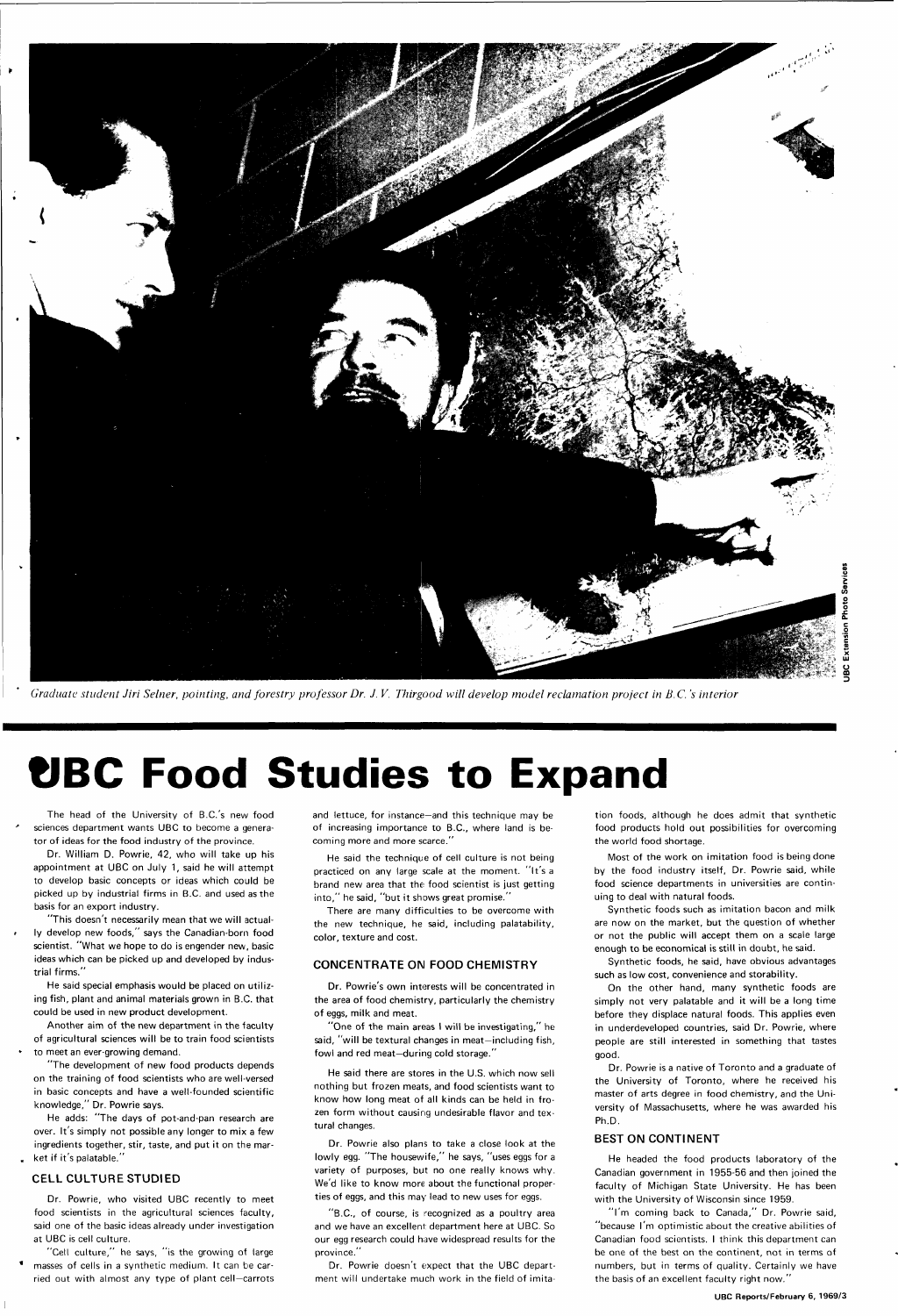

*Graduate student Jiri Seiner, pointing, and forestry professor Dr. J. V. Thirgood will develop model reclamation project in B.C. 's interior* 

## **UBC Food Studies to Expand**

The head of the University of B.C.'s new food sciences department wants UBC to become a generator of ideas for the food industry of the province.

Dr. William D. Powrie, 42, who will take up his appointment at UBC on July 1, said he will attempt to develop basic concepts or ideas which could be picked up by industrial firms in B.C. and used as the basis for an export industry.

"This doesn't necessarily mean that we will actually develop new foods," says the Canadian-born food scientist. "What we hope to do is engender new, basic ideas which can be picked up and developed by industrial firms."

He said special emphasis would be placed on utilizing fish, plant and animal materials grown in B.C. that could be used in new product development.

He said the technique of cell culture is not being practiced on any large scale at the moment. "It's a brand new area that the food scientist is just getting into," he said, "but it shows great promise."

Another aim of the new department in the faculty of agricultural sciences will be to train food scientists

to meet an ever-growing demand.

"The development of new food products depends on the training of food scientists who are well-versed in basic concepts and have a well-founded scientific knowledge," Dr. Powrie says.

He adds: "The days of pot-and-pan research are over. It's simply not possible any longer to mix a few ingredients together, stir, taste, and put it on the market if it's palatable."

#### CELL CULTURE STUDIED

Dr. Powrie, who visited UBC recently to meet food scientists in the agricultural sciences faculty, said one of the basic ideas already under investigation at UBC is cell culture.

"Cell culture," he says, "is the growing of large masses of cells in a synthetic medium. It can be carried out with almost any type of plant cell—carrots and lettuce, for instance—and this technique may be of increasing importance to B.C., where land is becoming more and more scarce."

There are many difficulties to be overcome with the new technique, he said, including palatability, color, texture and cost.

#### CONCENTRATE ON FOOD CHEMISTRY

Dr. Powrie's own interests will be concentrated in the area of food chemistry, particularly the chemistry of eggs, milk and meat.

"One of the main areas I will be investigating," he said, "will be textural changes in meat-including fish, fowl and red meat—during cold storage."

He said there are stores in the U.S. which now sell nothing but frozen meats, and food scientists want to know how long meat of all kinds can be held in frozen form without causing undesirable flavor and textural changes.

Dr. Powrie also plans to take a close look at the lowly egg. "The housewife," he says, "uses eggs for a variety of purposes, but no one really knows why. We'd like to know more about the functional properties of eggs, and this may lead to new uses for eggs.

"B.C., of course, is recognized as a poultry area and we have an excellent department here at UBC. So our egg research could have widespread results for the province."

Dr. Powrie doesn't expect that the UBC department will undertake much work in the field of imita-

tion foods, although he does admit that synthetic food products hold out possibilities for overcoming the world food shortage.

Most of the work on imitation food is being done by the food industry itself, Dr. Powrie said, while food science departments in universities are continuing to deal with natural foods.

Synthetic foods such as imitation bacon and milk are now on the market, but the question of whether or not the public will accept them on a scale large enough to be economical is still in doubt, he said.

Synthetic foods, he said, have obvious advantages such as low cost, convenience and storability.

On the other hand, many synthetic foods are

simply not very palatable and it will be a long time before they displace natural foods. This applies even in underdeveloped countries, said Dr. Powrie, where people are still interested in something that tastes good.

Dr. Powrie is a native of Toronto and a graduate of the University of Toronto, where he received his master of arts degree in food chemistry, and the University of Massachusetts, where he was awarded his Ph.D.

#### BEST ON CONTINENT

He headed the food products laboratory of the Canadian government in 1955-56 and then joined the faculty of Michigan State University. He has been with the University of Wisconsin since 1959.

"I'm coming back to Canada," Dr. Powrie said, "because I'm optimistic about the creative abilities of Canadian food scientists. I think this department can be one of the best on the continent, not in terms of numbers, but in terms of quality. Certainly we have the basis of an excellent faculty right now.'

**UBC Reports/February 6, 1969/3**